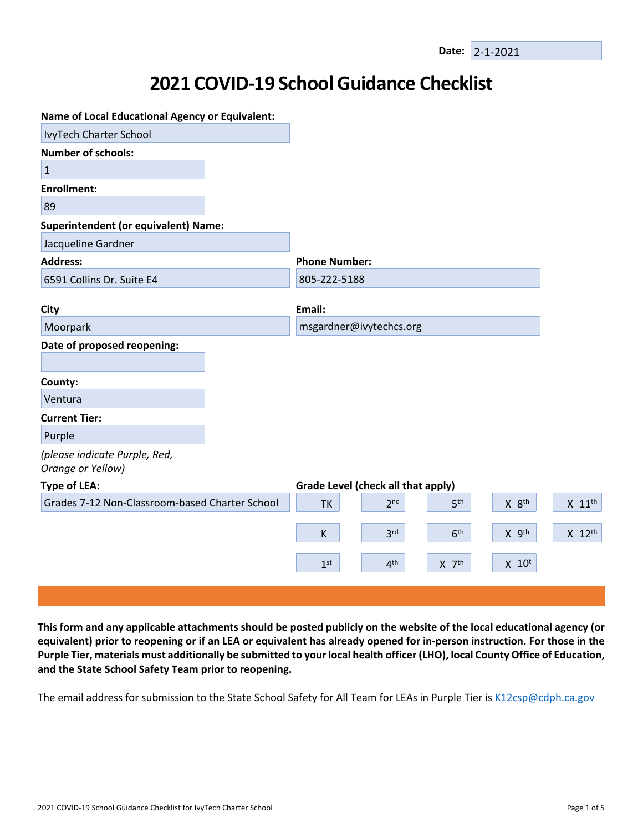## **2021 COVID-19 School Guidance Checklist**

| <b>Name of Local Educational Agency or Equivalent:</b> |                      |                                    |                 |                     |                      |
|--------------------------------------------------------|----------------------|------------------------------------|-----------------|---------------------|----------------------|
| IvyTech Charter School                                 |                      |                                    |                 |                     |                      |
| <b>Number of schools:</b>                              |                      |                                    |                 |                     |                      |
| $\mathbf{1}$                                           |                      |                                    |                 |                     |                      |
| <b>Enrollment:</b>                                     |                      |                                    |                 |                     |                      |
| 89                                                     |                      |                                    |                 |                     |                      |
| <b>Superintendent (or equivalent) Name:</b>            |                      |                                    |                 |                     |                      |
| Jacqueline Gardner                                     |                      |                                    |                 |                     |                      |
| <b>Address:</b>                                        | <b>Phone Number:</b> |                                    |                 |                     |                      |
| 6591 Collins Dr. Suite E4                              | 805-222-5188         |                                    |                 |                     |                      |
|                                                        |                      |                                    |                 |                     |                      |
| City                                                   | Email:               |                                    |                 |                     |                      |
| Moorpark                                               |                      | msgardner@ivytechcs.org            |                 |                     |                      |
| Date of proposed reopening:                            |                      |                                    |                 |                     |                      |
|                                                        |                      |                                    |                 |                     |                      |
| County:                                                |                      |                                    |                 |                     |                      |
| Ventura                                                |                      |                                    |                 |                     |                      |
| <b>Current Tier:</b>                                   |                      |                                    |                 |                     |                      |
| Purple                                                 |                      |                                    |                 |                     |                      |
| (please indicate Purple, Red,<br>Orange or Yellow)     |                      |                                    |                 |                     |                      |
| <b>Type of LEA:</b>                                    |                      | Grade Level (check all that apply) |                 |                     |                      |
| Grades 7-12 Non-Classroom-based Charter School         | <b>TK</b>            | 2 <sup>nd</sup>                    | 5 <sup>th</sup> | X 8 <sup>th</sup>   | $X$ 11 <sup>th</sup> |
|                                                        | K                    | 3 <sup>rd</sup>                    | 6 <sup>th</sup> | X 9th               | X 12th               |
|                                                        |                      |                                    |                 |                     |                      |
|                                                        | 1 <sup>st</sup>      | 4 <sup>th</sup>                    | $X$ $7th$       | $X$ 10 <sup>t</sup> |                      |
|                                                        |                      |                                    |                 |                     |                      |

This form and any applicable attachments should be posted publicly on the website of the local educational agency (or equivalent) prior to reopening or if an LEA or equivalent has already opened for in-person instruction. For those in the Purple Tier, materials must additionally be submitted to your local health officer (LHO), local County Office of Education, **and the State School Safety Team prior to reopening.**

The email address for submission to the State School Safety for All Team for LEAs in Purple Tier is [K12csp@cdph.ca.gov](mailto:K12csp@cdph.ca.gov)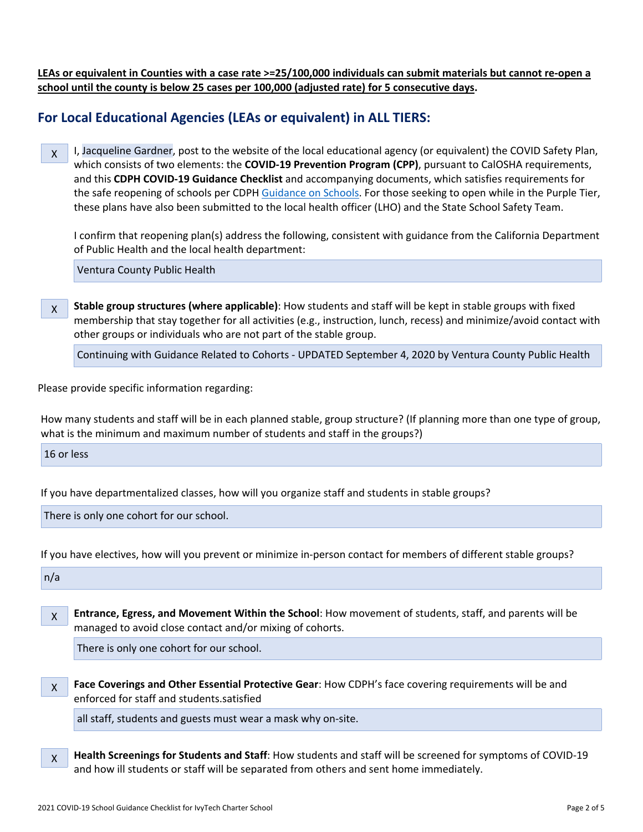LEAs or equivalent in Counties with a case rate >=25/100,000 individuals can submit materials but cannot re-open a **school until the county is below 25 cases per 100,000 (adjusted rate) for 5 consecutive days.**

## **For Local Educational Agencies (LEAs or equivalent) in ALL TIERS:**

X I, Jacqueline Gardner, post to the website of the local educational agency (or equivalent) the COVID Safety Plan, which consists of two elements: the **COVID-19 Prevention Program (CPP)**, pursuant to CalOSHA requirements, and this **CDPH COVID-19 Guidance Checklist** and accompanying documents, which satisfies requirements for the safe reopening of schools per CDPH [Guidance](https://www.cdph.ca.gov/Programs/CID/DCDC/CDPH%20Document%20Library/COVID-19/Consolidated_Schools_Guidance.pdf) on Schools. For those seeking to open while in the Purple Tier, these plans have also been submitted to the local health officer (LHO) and the State School Safety Team.

I confirm that reopening plan(s) address the following, consistent with guidance from the California Department of Public Health and the local health department:

Ventura County Public Health

X **Stable group structures (where applicable)**: How students and staff will be kept in stable groups with fixed membership that stay together for all activities (e.g., instruction, lunch, recess) and minimize/avoid contact with other groups or individuals who are not part of the stable group.

Continuing with Guidance Related to Cohorts - UPDATED September 4, 2020 by Ventura County Public Health

Please provide specific information regarding:

How many students and staff will be in each planned stable, group structure? (If planning more than one type of group, what is the minimum and maximum number of students and staff in the groups?)

16 or less

If you have departmentalized classes, how will you organize staff and students in stable groups?

There is only one cohort for our school.

If you have electives, how will you prevent or minimize in-person contact for members of different stable groups?

 $n/a$ 

X **Entrance, Egress, and Movement Within the School**: How movement of students, staff, and parents will be managed to avoid close contact and/or mixing of cohorts.

There is only one cohort for our school.

X **Face Coverings and Other Essential Protective Gear**: How CDPH's face covering requirements will be and enforced for staff and students.satisfied

all staff, students and guests must wear a mask why on-site.

X **Health Screenings for Students and Staff**: How students and staff will be screened for symptoms of COVID-19 and how ill students or staff will be separated from others and sent home immediately.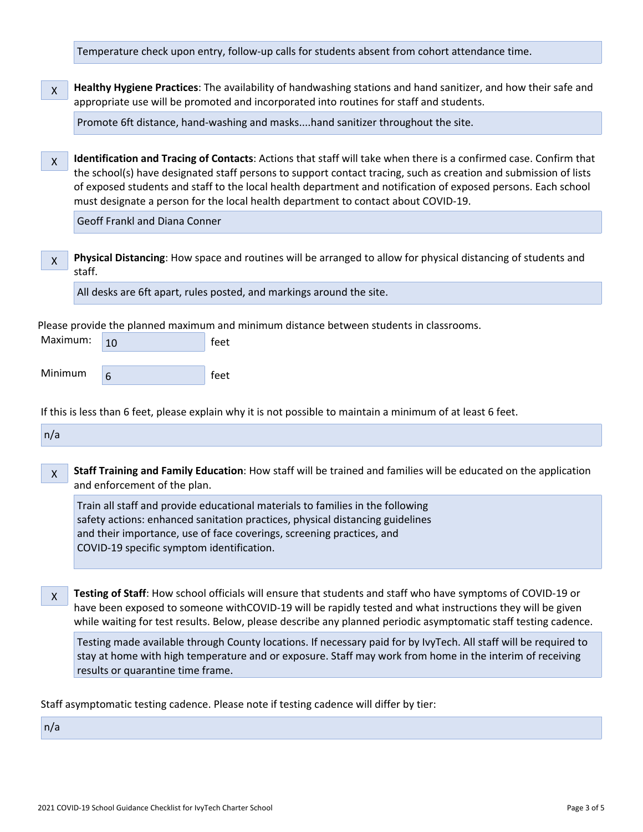Temperature check upon entry, follow-up calls for students absent from cohort attendance time.

X **Healthy Hygiene Practices**: The availability of handwashing stations and hand sanitizer, and how their safe and appropriate use will be promoted and incorporated into routines for staff and students.

Promote 6ft distance, hand-washing and masks....hand sanitizer throughout the site.

X **Identification and Tracing of Contacts**: Actions that staff will take when there is a confirmed case. Confirm that the school(s) have designated staff persons to support contact tracing, such as creation and submission of lists of exposed students and staff to the local health department and notification of exposed persons. Each school must designate a person for the local health department to contact about COVID-19.

Geoff Frankl and Diana Conner

X **Physical Distancing**: How space and routines will be arranged to allow for physical distancing of students and staff.

All desks are 6ft apart, rules posted, and markings around the site.

Please provide the planned maximum and minimum distance between students in classrooms.

| Maximum: | feet<br>10 |      |
|----------|------------|------|
|          |            |      |
| Minimum  | 6          | feet |

If this is less than 6 feet, please explain why it is not possible to maintain a minimum of at least 6 feet.

 $n/a$ 

X **Staff Training and Family Education**: How staff will be trained and families will be educated on the application and enforcement of the plan.

Train all staff and provide educational materials to families in the following safety actions: enhanced sanitation practices, physical distancing guidelines and their importance, use of face coverings, screening practices, and COVID-19 specific symptom identification.

X **Testing of Staff**: How school officials will ensure that students and staff who have symptoms of COVID-19 or have been exposed to someone withCOVID-19 will be rapidly tested and what instructions they will be given while waiting for test results. Below, please describe any planned periodic asymptomatic staff testing cadence.

Testing made available through County locations. If necessary paid for by IvyTech. All staff will be required to stay at home with high temperature and or exposure. Staff may work from home in the interim of receiving results or quarantine time frame.

Staff asymptomatic testing cadence. Please note if testing cadence will differ by tier:

 $n/a$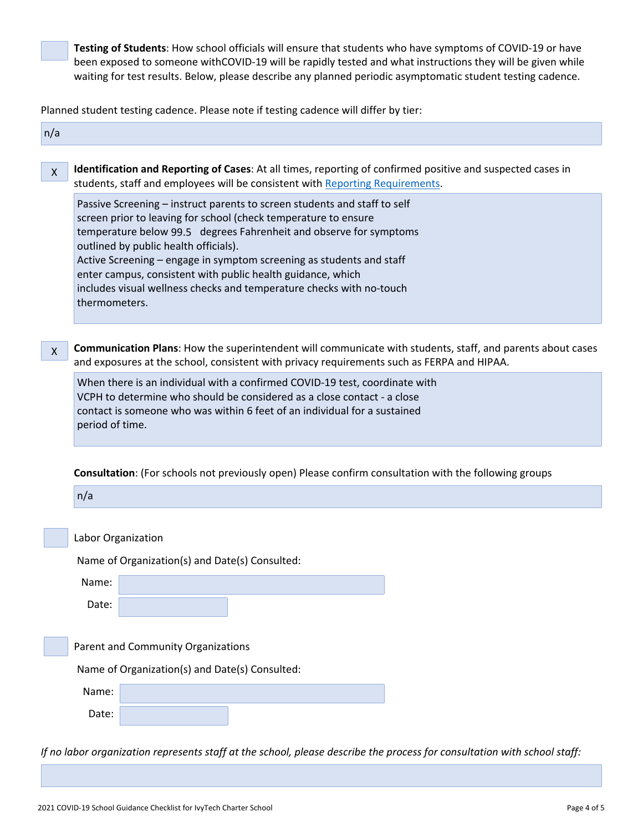**Testing of Students**: How school officials will ensure that students who have symptoms of COVID-19 or have been exposed to someone withCOVID-19 will be rapidly tested and what instructions they will be given while waiting for test results. Below, please describe any planned periodic asymptomatic student testing cadence.

Planned student testing cadence. Please note if testing cadence will differ by tier:

| n/a                                                                                                                                                                                                                                                                                                                                                                                                                                                                                         |
|---------------------------------------------------------------------------------------------------------------------------------------------------------------------------------------------------------------------------------------------------------------------------------------------------------------------------------------------------------------------------------------------------------------------------------------------------------------------------------------------|
| Identification and Reporting of Cases: At all times, reporting of confirmed positive and suspected cases in<br>$\mathsf{X}$<br>students, staff and employees will be consistent with Reporting Requirements.                                                                                                                                                                                                                                                                                |
| Passive Screening - instruct parents to screen students and staff to self<br>screen prior to leaving for school (check temperature to ensure<br>temperature below 99.5 degrees Fahrenheit and observe for symptoms<br>outlined by public health officials).<br>Active Screening - engage in symptom screening as students and staff<br>enter campus, consistent with public health guidance, which<br>includes visual wellness checks and temperature checks with no-touch<br>thermometers. |
| Communication Plans: How the superintendent will communicate with students, staff, and parents about cases<br>$\mathsf{X}$<br>and exposures at the school, consistent with privacy requirements such as FERPA and HIPAA.                                                                                                                                                                                                                                                                    |
| When there is an individual with a confirmed COVID-19 test, coordinate with<br>VCPH to determine who should be considered as a close contact - a close<br>contact is someone who was within 6 feet of an individual for a sustained<br>period of time.                                                                                                                                                                                                                                      |
| <b>Consultation:</b> (For schools not previously open) Please confirm consultation with the following groups                                                                                                                                                                                                                                                                                                                                                                                |
| n/a                                                                                                                                                                                                                                                                                                                                                                                                                                                                                         |
| Labor Organization                                                                                                                                                                                                                                                                                                                                                                                                                                                                          |
| Name of Organization(s) and Date(s) Consulted:                                                                                                                                                                                                                                                                                                                                                                                                                                              |
| Name:                                                                                                                                                                                                                                                                                                                                                                                                                                                                                       |
| Date:                                                                                                                                                                                                                                                                                                                                                                                                                                                                                       |
| Parent and Community Organizations                                                                                                                                                                                                                                                                                                                                                                                                                                                          |
| Name of Organization(s) and Date(s) Consulted:                                                                                                                                                                                                                                                                                                                                                                                                                                              |
| Name:                                                                                                                                                                                                                                                                                                                                                                                                                                                                                       |
| Date:                                                                                                                                                                                                                                                                                                                                                                                                                                                                                       |
| If no labor organization represents staff at the school, please describe the process for consultation with school staff:                                                                                                                                                                                                                                                                                                                                                                    |